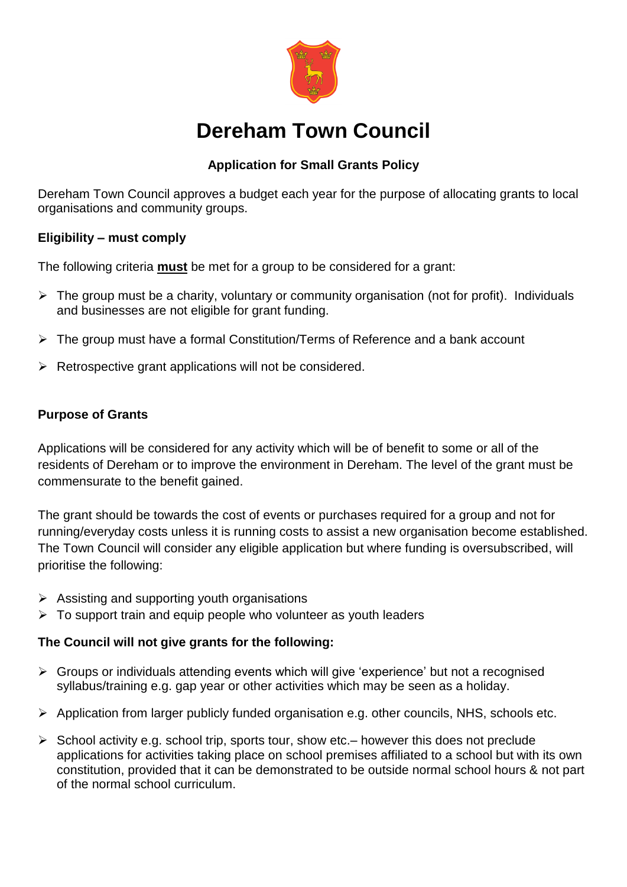

# **Dereham Town Council**

# **Application for Small Grants Policy**

Dereham Town Council approves a budget each year for the purpose of allocating grants to local organisations and community groups.

#### **Eligibility – must comply**

The following criteria **must** be met for a group to be considered for a grant:

- $\triangleright$  The group must be a charity, voluntary or community organisation (not for profit). Individuals and businesses are not eligible for grant funding.
- $\triangleright$  The group must have a formal Constitution/Terms of Reference and a bank account
- $\triangleright$  Retrospective grant applications will not be considered.

## **Purpose of Grants**

Applications will be considered for any activity which will be of benefit to some or all of the residents of Dereham or to improve the environment in Dereham. The level of the grant must be commensurate to the benefit gained.

The grant should be towards the cost of events or purchases required for a group and not for running/everyday costs unless it is running costs to assist a new organisation become established. The Town Council will consider any eligible application but where funding is oversubscribed, will prioritise the following:

- $\triangleright$  Assisting and supporting youth organisations
- $\triangleright$  To support train and equip people who volunteer as youth leaders

## **The Council will not give grants for the following:**

- $\triangleright$  Groups or individuals attending events which will give 'experience' but not a recognised syllabus/training e.g. gap year or other activities which may be seen as a holiday.
- Application from larger publicly funded organisation e.g. other councils, NHS, schools etc.
- $\triangleright$  School activity e.g. school trip, sports tour, show etc. however this does not preclude applications for activities taking place on school premises affiliated to a school but with its own constitution, provided that it can be demonstrated to be outside normal school hours & not part of the normal school curriculum.